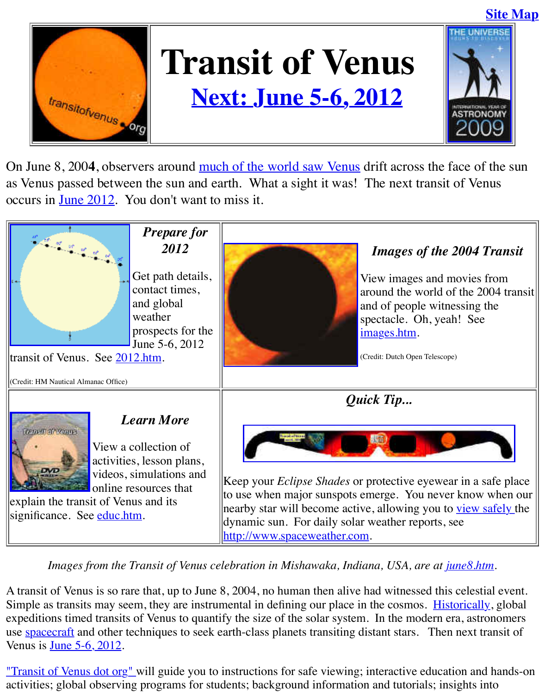

## **Next: June 5-6, 2012**



On June 8, 2004, observers around much of the world saw Venus drift across the face as Venus passed between the sun [and earth. What a sight it was! The nex](http://old.transitofvenus.org/2012.htm)t transit of occurs in June 2012. You don't want to miss it.



Images from the Transit of Venus celebration in Mishawaka, Indiana, USA, are at *june* 

A transit of Venus is so rare that, up to June 8, 2004, no human then alive had witnessed this co Simple as transits [may seem](http://old.transitofvenus.org/educ.htm), they are instrumental in defining our place in the cosmos. Histor expeditions timed transits of Venus to quantify the size of the solar system. In the modern era, use spacecraft and other techniques to seek e[arth-class planets transiting dis](http://www.spaceweather.com/)tant stars. Then next Venus is June 5-6, 2012.

"Transit of Venus dot org" will guide you to instructions for safe viewing; interactive education activities; global observing programs for students; background information and tutorials; insig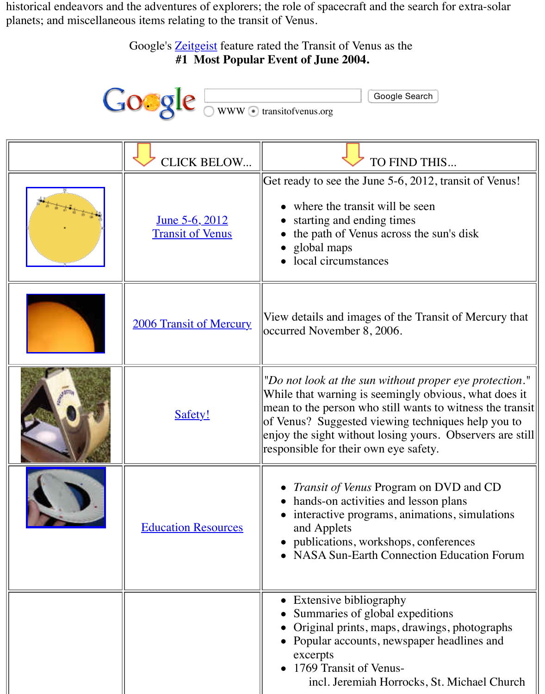

| <b>CLICK BELOW</b>                               | TO FIND THIS                                                                                                                                                                                                                                                       |
|--------------------------------------------------|--------------------------------------------------------------------------------------------------------------------------------------------------------------------------------------------------------------------------------------------------------------------|
| <u>June 5-6, 2012</u><br><b>Transit of Venus</b> | Get ready to see the June 5-6, 2012, trans<br>where the transit will be seen<br>starting and ending times<br>the path of Venus across the sun's d<br>global maps<br>local circumstances                                                                            |
| <b>2006 Transit of Mercury</b>                   | View details and images of the Transit of<br>occurred November 8, 2006.                                                                                                                                                                                            |
| <b>Safety!</b>                                   | "Do not look at the sun without proper $e$<br>While that warning is seemingly obvious<br>mean to the person who still wants to wit<br>of Venus? Suggested viewing techniques<br>enjoy the sight without losing yours. Obs<br>responsible for their own eye safety. |
| <b>Education Resources</b>                       | <i>Transit of Venus Program on DVD</i><br>hands-on activities and lesson plan<br>interactive programs, animations, s<br>and Applets<br>publications, workshops, conference<br><b>NASA Sun-Earth Connection Educ</b>                                                |
|                                                  | <b>Extensive bibliography</b><br>Summaries of global expeditions<br>Original prints, maps, drawings, ph<br>Popular accounts, newspaper headl<br>excerpts<br>1769 Transit of Venus-<br>incl. Jeremiah Horrocks, St. Mic                                             |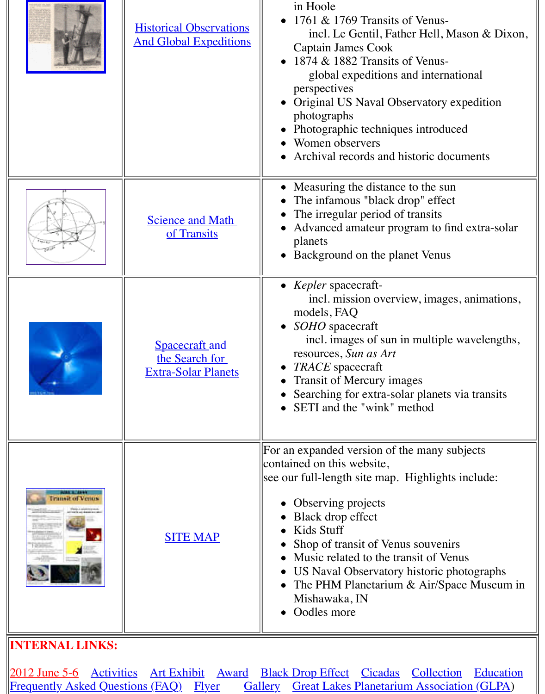|                         |                                                                       | Original US Naval Observatory ex<br>photographs<br>Photographic techniques introduce<br>Women observers<br>Archival records and historic docul                                                                                                                                                                                                                     |
|-------------------------|-----------------------------------------------------------------------|--------------------------------------------------------------------------------------------------------------------------------------------------------------------------------------------------------------------------------------------------------------------------------------------------------------------------------------------------------------------|
|                         | <b>Science and Math</b><br>of Transits                                | • Measuring the distance to the sun<br>The infamous "black drop" effect<br>The irregular period of transits<br>Advanced amateur program to find<br>planets<br>Background on the planet Venus                                                                                                                                                                       |
|                         | <b>Spacecraft</b> and<br>the Search for<br><b>Extra-Solar Planets</b> | • Kepler spacecraft-<br>incl. mission overview, images,<br>models, FAQ<br>• SOHO spacecraft<br>incl. images of sun in multiple w<br>resources, Sun as Art<br><b>TRACE</b> spacecraft<br><b>Transit of Mercury images</b><br>Searching for extra-solar planets vi<br>SETI and the "wink" method                                                                     |
| <b>I runset of Venu</b> | <b>SITE MAP</b>                                                       | For an expanded version of the many sub<br>contained on this website,<br>see our full-length site map. Highlights i<br>Observing projects<br>Black drop effect<br>Kids Stuff<br>Shop of transit of Venus souvenirs<br>Music related to the transit of Venu<br>US Naval Observatory historic pho<br>The PHM Planetarium & Air/Space<br>Mishawaka, IN<br>Oodles more |

## **IN[TERNAL LINK](http://old.transitofvenus.org/sitemap.htm)S:**

2012 June 5-6 Activities Art Exhibit Award Black Drop Effect Cicadas Collection<br>Frequently Asked Questions (FAQ) Flyer Gallery Great Lakes Planetarium Association Gallery Great Lakes Planetarium Associations